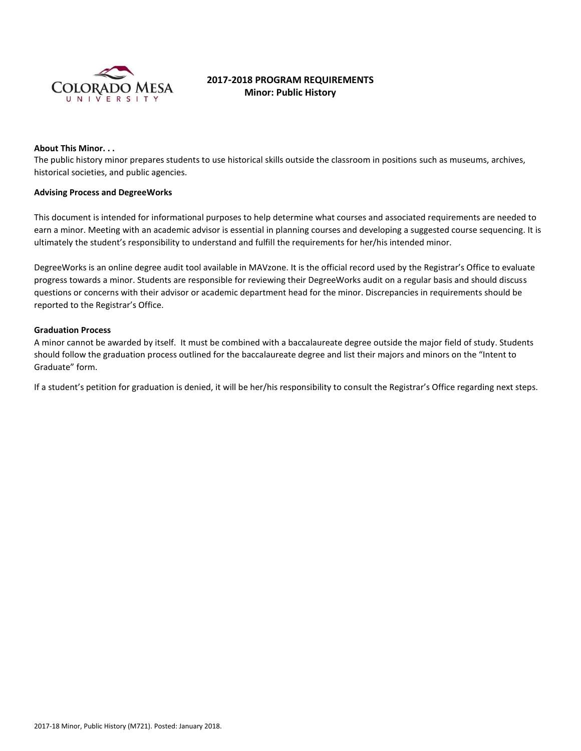

# **2017-2018 PROGRAM REQUIREMENTS Minor: Public History**

#### **About This Minor. . .**

The public history minor prepares students to use historical skills outside the classroom in positions such as museums, archives, historical societies, and public agencies.

#### **Advising Process and DegreeWorks**

This document is intended for informational purposes to help determine what courses and associated requirements are needed to earn a minor. Meeting with an academic advisor is essential in planning courses and developing a suggested course sequencing. It is ultimately the student's responsibility to understand and fulfill the requirements for her/his intended minor.

DegreeWorks is an online degree audit tool available in MAVzone. It is the official record used by the Registrar's Office to evaluate progress towards a minor. Students are responsible for reviewing their DegreeWorks audit on a regular basis and should discuss questions or concerns with their advisor or academic department head for the minor. Discrepancies in requirements should be reported to the Registrar's Office.

## **Graduation Process**

A minor cannot be awarded by itself. It must be combined with a baccalaureate degree outside the major field of study. Students should follow the graduation process outlined for the baccalaureate degree and list their majors and minors on the "Intent to Graduate" form.

If a student's petition for graduation is denied, it will be her/his responsibility to consult the Registrar's Office regarding next steps.